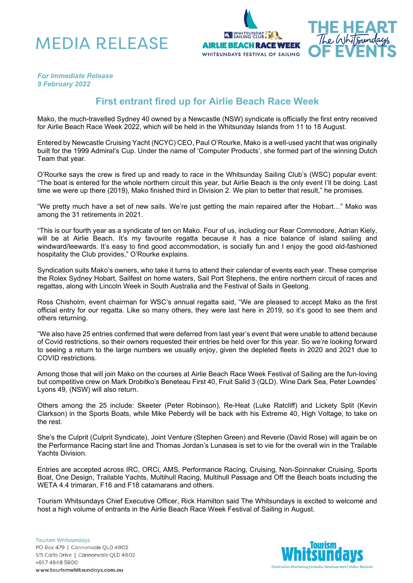





## *For Immediate Release 9 February 2022*

## **First entrant fired up for Airlie Beach Race Week**

Mako, the much-travelled Sydney 40 owned by a Newcastle (NSW) syndicate is officially the first entry received for Airlie Beach Race Week 2022, which will be held in the Whitsunday Islands from 11 to 18 August.

Entered by Newcastle Cruising Yacht (NCYC) CEO, Paul O'Rourke, Mako is a well-used yacht that was originally built for the 1999 Admiral's Cup. Under the name of 'Computer Products', she formed part of the winning Dutch Team that year.

O'Rourke says the crew is fired up and ready to race in the Whitsunday Sailing Club's (WSC) popular event: "The boat is entered for the whole northern circuit this year, but Airlie Beach is the only event I'll be doing. Last time we were up there (2019), Mako finished third in Division 2. We plan to better that result," he promises.

"We pretty much have a set of new sails. We're just getting the main repaired after the Hobart…" Mako was among the 31 retirements in 2021.

"This is our fourth year as a syndicate of ten on Mako. Four of us, including our Rear Commodore, Adrian Kiely, will be at Airlie Beach. It's my favourite regatta because it has a nice balance of island sailing and windward/leewards. It's easy to find good accommodation, is socially fun and I enjoy the good old-fashioned hospitality the Club provides," O'Rourke explains.

Syndication suits Mako's owners, who take it turns to attend their calendar of events each year. These comprise the Rolex Sydney Hobart, Sailfest on home waters, Sail Port Stephens, the entire northern circuit of races and regattas, along with Lincoln Week in South Australia and the Festival of Sails in Geelong.

Ross Chisholm, event chairman for WSC's annual regatta said, "We are pleased to accept Mako as the first official entry for our regatta. Like so many others, they were last here in 2019, so it's good to see them and others returning.

"We also have 25 entries confirmed that were deferred from last year's event that were unable to attend because of Covid restrictions, so their owners requested their entries be held over for this year. So we're looking forward to seeing a return to the large numbers we usually enjoy, given the depleted fleets in 2020 and 2021 due to COVID restrictions.

Among those that will join Mako on the courses at Airlie Beach Race Week Festival of Sailing are the fun-loving but competitive crew on Mark Drobitko's Beneteau First 40, Fruit Salid 3 (QLD). Wine Dark Sea, Peter Lowndes' Lyons 49, (NSW) will also return.

Others among the 25 include: Skeeter (Peter Robinson), Re-Heat (Luke Ratcliff) and Lickety Split (Kevin Clarkson) in the Sports Boats, while Mike Peberdy will be back with his Extreme 40, High Voltage, to take on the rest.

She's the Culprit (Culprit Syndicate), Joint Venture (Stephen Green) and Reverie (David Rose) will again be on the Performance Racing start line and Thomas Jordan's Lunasea is set to vie for the overall win in the Trailable Yachts Division.

Entries are accepted across IRC, ORCi, AMS, Performance Racing, Cruising, Non-Spinnaker Cruising, Sports Boat, One Design, Trailable Yachts, Multihull Racing, Multihull Passage and Off the Beach boats including the WETA 4.4 trimaran, F16 and F18 catamarans and others.

Tourism Whitsundays Chief Executive Officer, Rick Hamilton said The Whitsundays is excited to welcome and host a high volume of entrants in the Airlie Beach Race Week Festival of Sailing in August.

**Tourism Whitsundays** PO Box 479 | Cannonvale QLD 4802 1/5 Carlo Drive | Cannonvale QLD 4802 +617 4948 5900 www.tourismwhitsundays.com.au